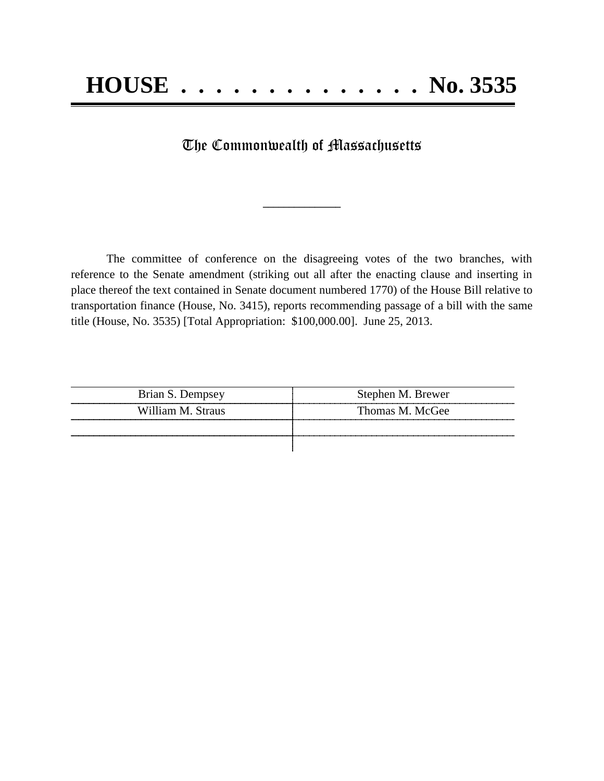## The Commonwealth of Massachusetts

**\_\_\_\_\_\_\_\_\_\_\_\_\_\_\_**

The committee of conference on the disagreeing votes of the two branches, with reference to the Senate amendment (striking out all after the enacting clause and inserting in place thereof the text contained in Senate document numbered 1770) of the House Bill relative to transportation finance (House, No. 3415), reports recommending passage of a bill with the same title (House, No. 3535) [Total Appropriation: \$100,000.00]. June 25, 2013.

| Brian S. Dempsey  | Stephen M. Brewer |
|-------------------|-------------------|
| William M. Straus | Thomas M. McGee   |
|                   |                   |
|                   |                   |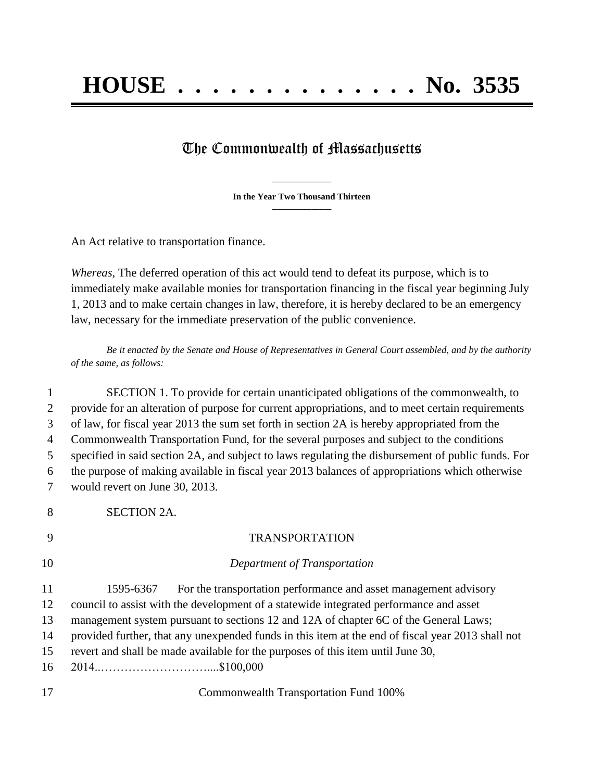## The Commonwealth of Massachusetts

**\_\_\_\_\_\_\_\_\_\_\_\_\_\_\_ In the Year Two Thousand Thirteen \_\_\_\_\_\_\_\_\_\_\_\_\_\_\_**

An Act relative to transportation finance.

*Whereas,* The deferred operation of this act would tend to defeat its purpose, which is to immediately make available monies for transportation financing in the fiscal year beginning July 1, 2013 and to make certain changes in law, therefore, it is hereby declared to be an emergency law, necessary for the immediate preservation of the public convenience.

*Be it enacted by the Senate and House of Representatives in General Court assembled, and by the authority of the same, as follows:*

 SECTION 1. To provide for certain unanticipated obligations of the commonwealth, to provide for an alteration of purpose for current appropriations, and to meet certain requirements of law, for fiscal year 2013 the sum set forth in section 2A is hereby appropriated from the Commonwealth Transportation Fund, for the several purposes and subject to the conditions specified in said section 2A, and subject to laws regulating the disbursement of public funds. For the purpose of making available in fiscal year 2013 balances of appropriations which otherwise would revert on June 30, 2013. SECTION 2A. TRANSPORTATION *Department of Transportation* 1595-6367 For the transportation performance and asset management advisory council to assist with the development of a statewide integrated performance and asset 13 management system pursuant to sections 12 and 12A of chapter 6C of the General Laws; provided further, that any unexpended funds in this item at the end of fiscal year 2013 shall not revert and shall be made available for the purposes of this item until June 30, 2014..………………………....\$100,000 Commonwealth Transportation Fund 100%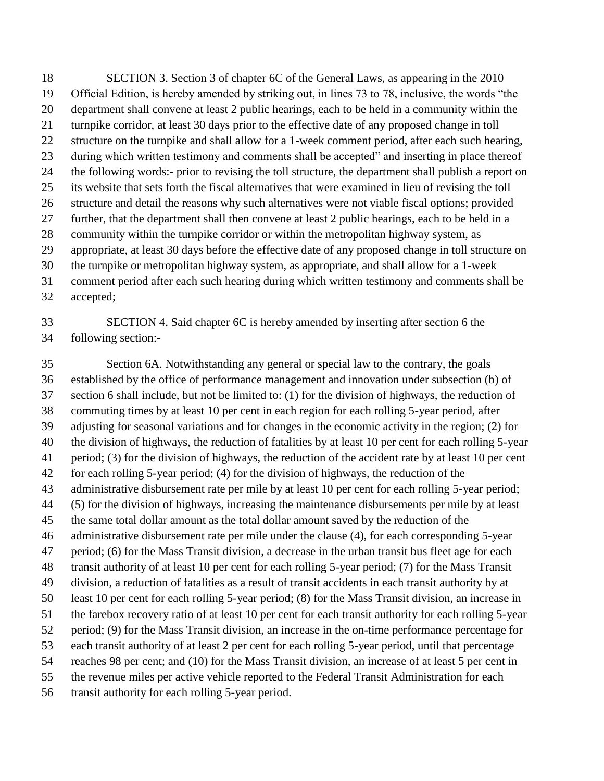SECTION 3. Section 3 of chapter 6C of the General Laws, as appearing in the 2010 Official Edition, is hereby amended by striking out, in lines 73 to 78, inclusive, the words "the department shall convene at least 2 public hearings, each to be held in a community within the turnpike corridor, at least 30 days prior to the effective date of any proposed change in toll structure on the turnpike and shall allow for a 1-week comment period, after each such hearing, during which written testimony and comments shall be accepted" and inserting in place thereof the following words:- prior to revising the toll structure, the department shall publish a report on its website that sets forth the fiscal alternatives that were examined in lieu of revising the toll structure and detail the reasons why such alternatives were not viable fiscal options; provided further, that the department shall then convene at least 2 public hearings, each to be held in a community within the turnpike corridor or within the metropolitan highway system, as appropriate, at least 30 days before the effective date of any proposed change in toll structure on the turnpike or metropolitan highway system, as appropriate, and shall allow for a 1-week comment period after each such hearing during which written testimony and comments shall be accepted;

 SECTION 4. Said chapter 6C is hereby amended by inserting after section 6 the following section:-

 Section 6A. Notwithstanding any general or special law to the contrary, the goals established by the office of performance management and innovation under subsection (b) of section 6 shall include, but not be limited to: (1) for the division of highways, the reduction of commuting times by at least 10 per cent in each region for each rolling 5-year period, after adjusting for seasonal variations and for changes in the economic activity in the region; (2) for the division of highways, the reduction of fatalities by at least 10 per cent for each rolling 5-year period; (3) for the division of highways, the reduction of the accident rate by at least 10 per cent for each rolling 5-year period; (4) for the division of highways, the reduction of the administrative disbursement rate per mile by at least 10 per cent for each rolling 5-year period; (5) for the division of highways, increasing the maintenance disbursements per mile by at least the same total dollar amount as the total dollar amount saved by the reduction of the administrative disbursement rate per mile under the clause (4), for each corresponding 5-year period; (6) for the Mass Transit division, a decrease in the urban transit bus fleet age for each transit authority of at least 10 per cent for each rolling 5-year period; (7) for the Mass Transit division, a reduction of fatalities as a result of transit accidents in each transit authority by at least 10 per cent for each rolling 5-year period; (8) for the Mass Transit division, an increase in the farebox recovery ratio of at least 10 per cent for each transit authority for each rolling 5-year period; (9) for the Mass Transit division, an increase in the on-time performance percentage for each transit authority of at least 2 per cent for each rolling 5-year period, until that percentage reaches 98 per cent; and (10) for the Mass Transit division, an increase of at least 5 per cent in the revenue miles per active vehicle reported to the Federal Transit Administration for each transit authority for each rolling 5-year period.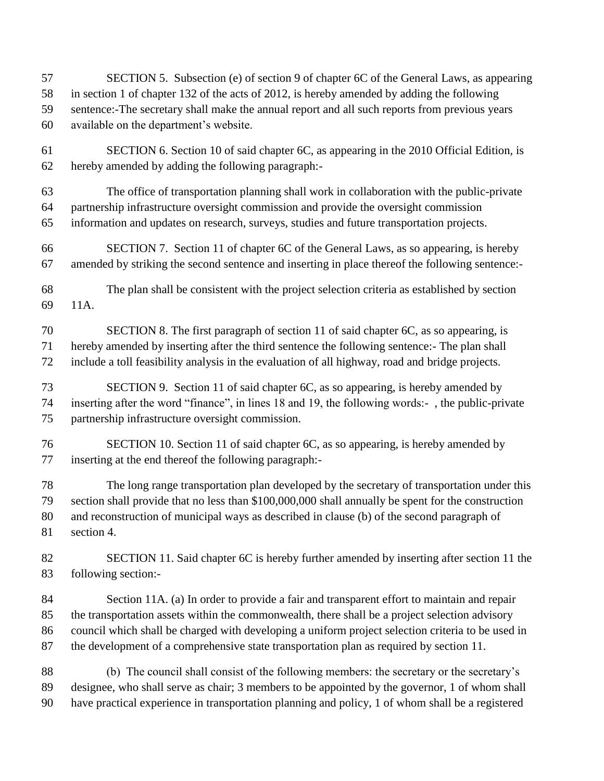- SECTION 5. Subsection (e) of section 9 of chapter 6C of the General Laws, as appearing in section 1 of chapter 132 of the acts of 2012, is hereby amended by adding the following sentence:-The secretary shall make the annual report and all such reports from previous years available on the department's website.
- SECTION 6. Section 10 of said chapter 6C, as appearing in the 2010 Official Edition, is hereby amended by adding the following paragraph:-
- The office of transportation planning shall work in collaboration with the public-private partnership infrastructure oversight commission and provide the oversight commission information and updates on research, surveys, studies and future transportation projects.
- SECTION 7. Section 11 of chapter 6C of the General Laws, as so appearing, is hereby amended by striking the second sentence and inserting in place thereof the following sentence:-
- The plan shall be consistent with the project selection criteria as established by section 11A.
- SECTION 8. The first paragraph of section 11 of said chapter 6C, as so appearing, is hereby amended by inserting after the third sentence the following sentence:- The plan shall include a toll feasibility analysis in the evaluation of all highway, road and bridge projects.
- SECTION 9. Section 11 of said chapter 6C, as so appearing, is hereby amended by inserting after the word "finance", in lines 18 and 19, the following words:- , the public-private partnership infrastructure oversight commission.
- SECTION 10. Section 11 of said chapter 6C, as so appearing, is hereby amended by inserting at the end thereof the following paragraph:-
- The long range transportation plan developed by the secretary of transportation under this section shall provide that no less than \$100,000,000 shall annually be spent for the construction and reconstruction of municipal ways as described in clause (b) of the second paragraph of section 4.
- SECTION 11. Said chapter 6C is hereby further amended by inserting after section 11 the following section:-
- Section 11A. (a) In order to provide a fair and transparent effort to maintain and repair the transportation assets within the commonwealth, there shall be a project selection advisory council which shall be charged with developing a uniform project selection criteria to be used in the development of a comprehensive state transportation plan as required by section 11.
- (b) The council shall consist of the following members: the secretary or the secretary's designee, who shall serve as chair; 3 members to be appointed by the governor, 1 of whom shall have practical experience in transportation planning and policy, 1 of whom shall be a registered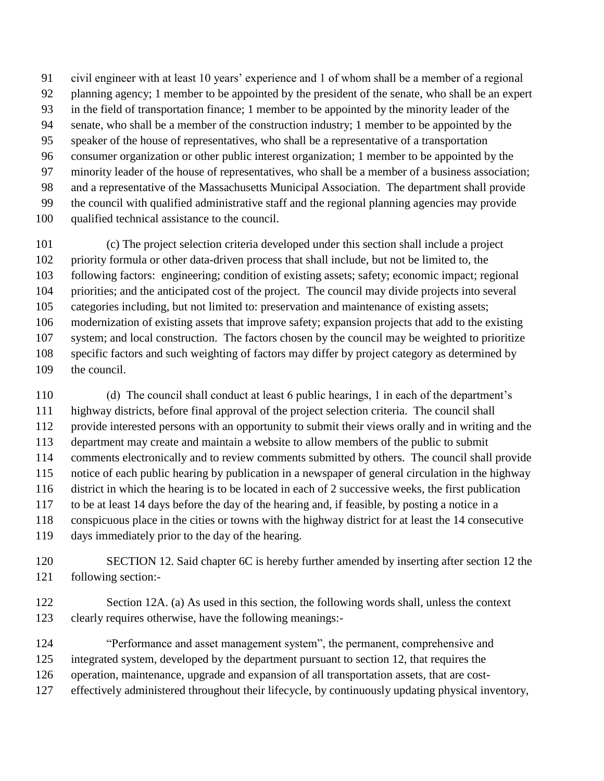civil engineer with at least 10 years' experience and 1 of whom shall be a member of a regional planning agency; 1 member to be appointed by the president of the senate, who shall be an expert in the field of transportation finance; 1 member to be appointed by the minority leader of the senate, who shall be a member of the construction industry; 1 member to be appointed by the speaker of the house of representatives, who shall be a representative of a transportation consumer organization or other public interest organization; 1 member to be appointed by the minority leader of the house of representatives, who shall be a member of a business association; and a representative of the Massachusetts Municipal Association. The department shall provide the council with qualified administrative staff and the regional planning agencies may provide qualified technical assistance to the council.

 (c) The project selection criteria developed under this section shall include a project priority formula or other data-driven process that shall include, but not be limited to, the following factors: engineering; condition of existing assets; safety; economic impact; regional priorities; and the anticipated cost of the project. The council may divide projects into several categories including, but not limited to: preservation and maintenance of existing assets; modernization of existing assets that improve safety; expansion projects that add to the existing system; and local construction. The factors chosen by the council may be weighted to prioritize specific factors and such weighting of factors may differ by project category as determined by the council.

 (d) The council shall conduct at least 6 public hearings, 1 in each of the department's highway districts, before final approval of the project selection criteria. The council shall provide interested persons with an opportunity to submit their views orally and in writing and the department may create and maintain a website to allow members of the public to submit comments electronically and to review comments submitted by others. The council shall provide notice of each public hearing by publication in a newspaper of general circulation in the highway district in which the hearing is to be located in each of 2 successive weeks, the first publication to be at least 14 days before the day of the hearing and, if feasible, by posting a notice in a conspicuous place in the cities or towns with the highway district for at least the 14 consecutive days immediately prior to the day of the hearing.

- 120 SECTION 12. Said chapter 6C is hereby further amended by inserting after section 12 the following section:-
- Section 12A. (a) As used in this section, the following words shall, unless the context clearly requires otherwise, have the following meanings:-
- "Performance and asset management system", the permanent, comprehensive and
- integrated system, developed by the department pursuant to section 12, that requires the
- operation, maintenance, upgrade and expansion of all transportation assets, that are cost-
- effectively administered throughout their lifecycle, by continuously updating physical inventory,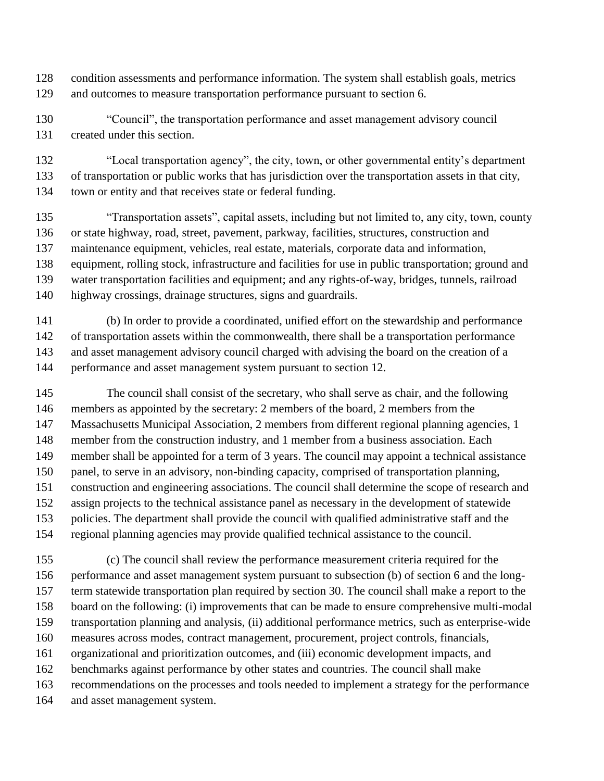- condition assessments and performance information. The system shall establish goals, metrics and outcomes to measure transportation performance pursuant to section 6.
- "Council", the transportation performance and asset management advisory council created under this section.

 "Local transportation agency", the city, town, or other governmental entity's department of transportation or public works that has jurisdiction over the transportation assets in that city, town or entity and that receives state or federal funding.

 "Transportation assets", capital assets, including but not limited to, any city, town, county or state highway, road, street, pavement, parkway, facilities, structures, construction and maintenance equipment, vehicles, real estate, materials, corporate data and information, equipment, rolling stock, infrastructure and facilities for use in public transportation; ground and water transportation facilities and equipment; and any rights-of-way, bridges, tunnels, railroad highway crossings, drainage structures, signs and guardrails.

 (b) In order to provide a coordinated, unified effort on the stewardship and performance of transportation assets within the commonwealth, there shall be a transportation performance and asset management advisory council charged with advising the board on the creation of a 144 performance and asset management system pursuant to section 12.

 The council shall consist of the secretary, who shall serve as chair, and the following members as appointed by the secretary: 2 members of the board, 2 members from the Massachusetts Municipal Association, 2 members from different regional planning agencies, 1 member from the construction industry, and 1 member from a business association. Each member shall be appointed for a term of 3 years. The council may appoint a technical assistance panel, to serve in an advisory, non-binding capacity, comprised of transportation planning, construction and engineering associations. The council shall determine the scope of research and assign projects to the technical assistance panel as necessary in the development of statewide policies. The department shall provide the council with qualified administrative staff and the regional planning agencies may provide qualified technical assistance to the council.

 (c) The council shall review the performance measurement criteria required for the performance and asset management system pursuant to subsection (b) of section 6 and the long- term statewide transportation plan required by section 30. The council shall make a report to the board on the following: (i) improvements that can be made to ensure comprehensive multi-modal transportation planning and analysis, (ii) additional performance metrics, such as enterprise-wide measures across modes, contract management, procurement, project controls, financials, organizational and prioritization outcomes, and (iii) economic development impacts, and benchmarks against performance by other states and countries. The council shall make recommendations on the processes and tools needed to implement a strategy for the performance and asset management system.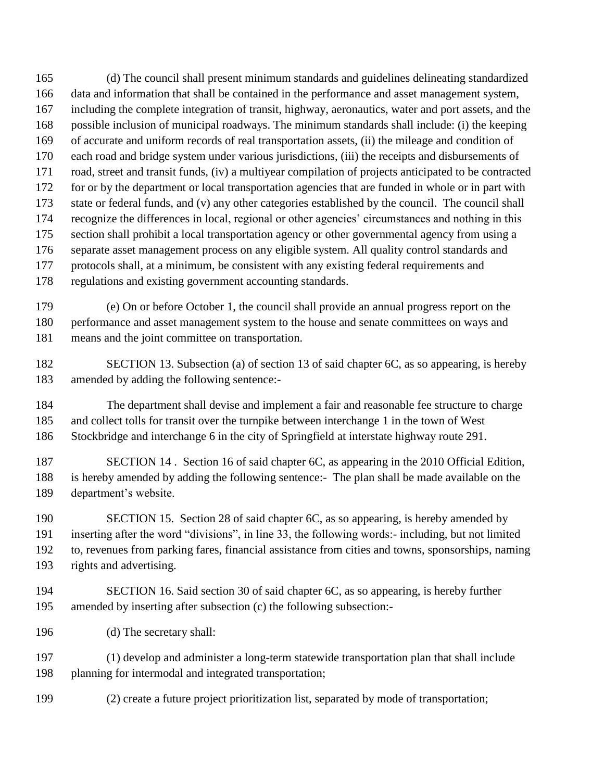(d) The council shall present minimum standards and guidelines delineating standardized data and information that shall be contained in the performance and asset management system, including the complete integration of transit, highway, aeronautics, water and port assets, and the possible inclusion of municipal roadways. The minimum standards shall include: (i) the keeping of accurate and uniform records of real transportation assets, (ii) the mileage and condition of each road and bridge system under various jurisdictions, (iii) the receipts and disbursements of road, street and transit funds, (iv) a multiyear compilation of projects anticipated to be contracted for or by the department or local transportation agencies that are funded in whole or in part with state or federal funds, and (v) any other categories established by the council. The council shall recognize the differences in local, regional or other agencies' circumstances and nothing in this section shall prohibit a local transportation agency or other governmental agency from using a separate asset management process on any eligible system. All quality control standards and protocols shall, at a minimum, be consistent with any existing federal requirements and regulations and existing government accounting standards.

 (e) On or before October 1, the council shall provide an annual progress report on the performance and asset management system to the house and senate committees on ways and means and the joint committee on transportation.

 SECTION 13. Subsection (a) of section 13 of said chapter 6C, as so appearing, is hereby amended by adding the following sentence:-

 The department shall devise and implement a fair and reasonable fee structure to charge and collect tolls for transit over the turnpike between interchange 1 in the town of West Stockbridge and interchange 6 in the city of Springfield at interstate highway route 291.

 SECTION 14 . Section 16 of said chapter 6C, as appearing in the 2010 Official Edition, is hereby amended by adding the following sentence:- The plan shall be made available on the department's website.

 SECTION 15. Section 28 of said chapter 6C, as so appearing, is hereby amended by inserting after the word "divisions", in line 33, the following words:- including, but not limited to, revenues from parking fares, financial assistance from cities and towns, sponsorships, naming rights and advertising.

- SECTION 16. Said section 30 of said chapter 6C, as so appearing, is hereby further amended by inserting after subsection (c) the following subsection:-
- (d) The secretary shall:

 (1) develop and administer a long-term statewide transportation plan that shall include planning for intermodal and integrated transportation;

(2) create a future project prioritization list, separated by mode of transportation;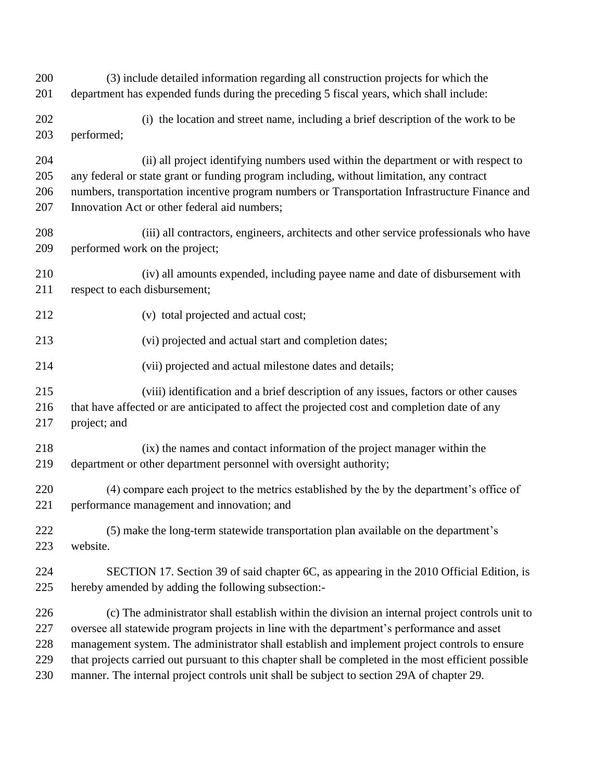(3) include detailed information regarding all construction projects for which the department has expended funds during the preceding 5 fiscal years, which shall include: (i) the location and street name, including a brief description of the work to be performed; (ii) all project identifying numbers used within the department or with respect to any federal or state grant or funding program including, without limitation, any contract numbers, transportation incentive program numbers or Transportation Infrastructure Finance and Innovation Act or other federal aid numbers; (iii) all contractors, engineers, architects and other service professionals who have performed work on the project; (iv) all amounts expended, including payee name and date of disbursement with respect to each disbursement; (v) total projected and actual cost; (vi) projected and actual start and completion dates; (vii) projected and actual milestone dates and details; (viii) identification and a brief description of any issues, factors or other causes that have affected or are anticipated to affect the projected cost and completion date of any project; and (ix) the names and contact information of the project manager within the department or other department personnel with oversight authority; (4) compare each project to the metrics established by the by the department's office of performance management and innovation; and (5) make the long-term statewide transportation plan available on the department's website. SECTION 17. Section 39 of said chapter 6C, as appearing in the 2010 Official Edition, is hereby amended by adding the following subsection:- (c) The administrator shall establish within the division an internal project controls unit to oversee all statewide program projects in line with the department's performance and asset management system. The administrator shall establish and implement project controls to ensure that projects carried out pursuant to this chapter shall be completed in the most efficient possible manner. The internal project controls unit shall be subject to section 29A of chapter 29.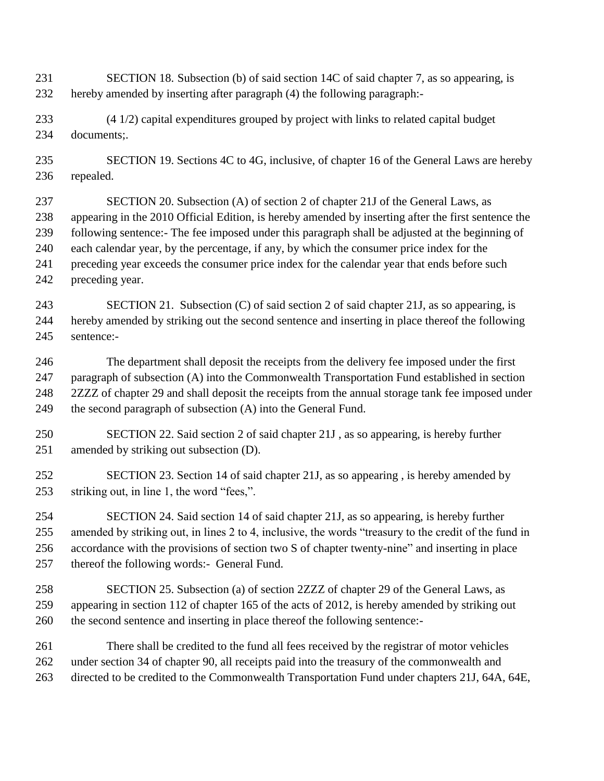- SECTION 18. Subsection (b) of said section 14C of said chapter 7, as so appearing, is hereby amended by inserting after paragraph (4) the following paragraph:-
- (4 1/2) capital expenditures grouped by project with links to related capital budget documents;.
- SECTION 19. Sections 4C to 4G, inclusive, of chapter 16 of the General Laws are hereby repealed.
- SECTION 20. Subsection (A) of section 2 of chapter 21J of the General Laws, as appearing in the 2010 Official Edition, is hereby amended by inserting after the first sentence the following sentence:- The fee imposed under this paragraph shall be adjusted at the beginning of each calendar year, by the percentage, if any, by which the consumer price index for the preceding year exceeds the consumer price index for the calendar year that ends before such preceding year.
- SECTION 21. Subsection (C) of said section 2 of said chapter 21J, as so appearing, is hereby amended by striking out the second sentence and inserting in place thereof the following sentence:-
- The department shall deposit the receipts from the delivery fee imposed under the first paragraph of subsection (A) into the Commonwealth Transportation Fund established in section 2ZZZ of chapter 29 and shall deposit the receipts from the annual storage tank fee imposed under the second paragraph of subsection (A) into the General Fund.
- SECTION 22. Said section 2 of said chapter 21J , as so appearing, is hereby further amended by striking out subsection (D).
- SECTION 23. Section 14 of said chapter 21J, as so appearing , is hereby amended by striking out, in line 1, the word "fees,".
- SECTION 24. Said section 14 of said chapter 21J, as so appearing, is hereby further amended by striking out, in lines 2 to 4, inclusive, the words "treasury to the credit of the fund in accordance with the provisions of section two S of chapter twenty-nine" and inserting in place thereof the following words:- General Fund.
- SECTION 25. Subsection (a) of section 2ZZZ of chapter 29 of the General Laws, as appearing in section 112 of chapter 165 of the acts of 2012, is hereby amended by striking out the second sentence and inserting in place thereof the following sentence:-
- There shall be credited to the fund all fees received by the registrar of motor vehicles under section 34 of chapter 90, all receipts paid into the treasury of the commonwealth and directed to be credited to the Commonwealth Transportation Fund under chapters 21J, 64A, 64E,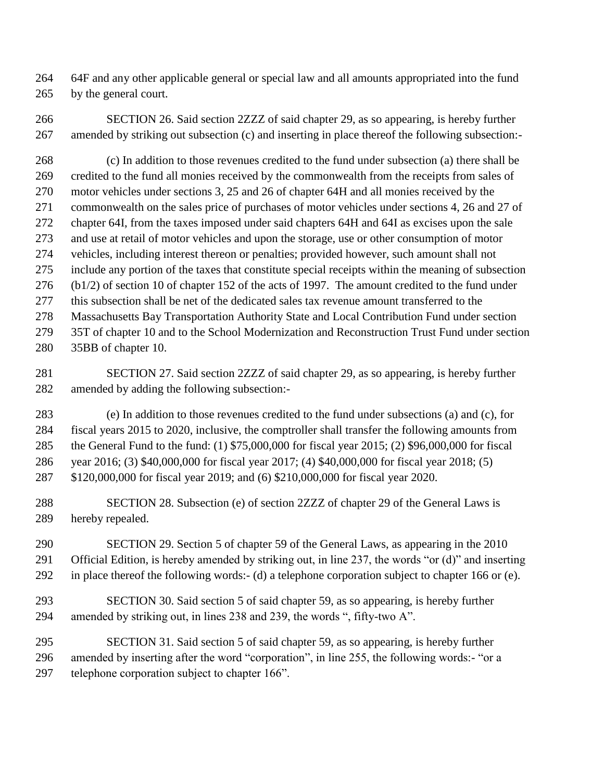64F and any other applicable general or special law and all amounts appropriated into the fund by the general court.

 SECTION 26. Said section 2ZZZ of said chapter 29, as so appearing, is hereby further amended by striking out subsection (c) and inserting in place thereof the following subsection:-

 (c) In addition to those revenues credited to the fund under subsection (a) there shall be credited to the fund all monies received by the commonwealth from the receipts from sales of motor vehicles under sections 3, 25 and 26 of chapter 64H and all monies received by the commonwealth on the sales price of purchases of motor vehicles under sections 4, 26 and 27 of chapter 64I, from the taxes imposed under said chapters 64H and 64I as excises upon the sale and use at retail of motor vehicles and upon the storage, use or other consumption of motor vehicles, including interest thereon or penalties; provided however, such amount shall not include any portion of the taxes that constitute special receipts within the meaning of subsection (b1/2) of section 10 of chapter 152 of the acts of 1997. The amount credited to the fund under this subsection shall be net of the dedicated sales tax revenue amount transferred to the Massachusetts Bay Transportation Authority State and Local Contribution Fund under section 35T of chapter 10 and to the School Modernization and Reconstruction Trust Fund under section 35BB of chapter 10.

 SECTION 27. Said section 2ZZZ of said chapter 29, as so appearing, is hereby further amended by adding the following subsection:-

 (e) In addition to those revenues credited to the fund under subsections (a) and (c), for fiscal years 2015 to 2020, inclusive, the comptroller shall transfer the following amounts from the General Fund to the fund: (1) \$75,000,000 for fiscal year 2015; (2) \$96,000,000 for fiscal year 2016; (3) \$40,000,000 for fiscal year 2017; (4) \$40,000,000 for fiscal year 2018; (5) \$120,000,000 for fiscal year 2019; and (6) \$210,000,000 for fiscal year 2020.

 SECTION 28. Subsection (e) of section 2ZZZ of chapter 29 of the General Laws is hereby repealed.

 SECTION 29. Section 5 of chapter 59 of the General Laws, as appearing in the 2010 Official Edition, is hereby amended by striking out, in line 237, the words "or (d)" and inserting in place thereof the following words:- (d) a telephone corporation subject to chapter 166 or (e).

 SECTION 30. Said section 5 of said chapter 59, as so appearing, is hereby further amended by striking out, in lines 238 and 239, the words ", fifty-two A".

 SECTION 31. Said section 5 of said chapter 59, as so appearing, is hereby further amended by inserting after the word "corporation", in line 255, the following words:- "or a telephone corporation subject to chapter 166".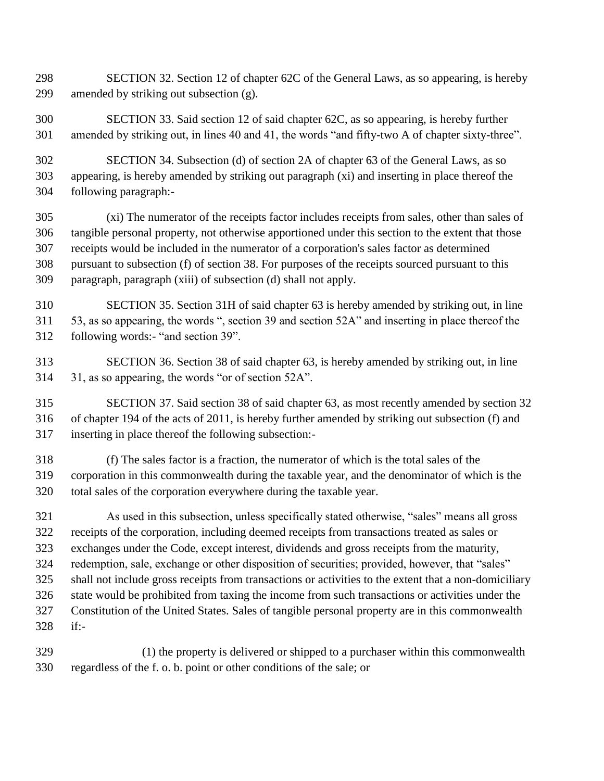SECTION 32. Section 12 of chapter 62C of the General Laws, as so appearing, is hereby amended by striking out subsection (g).

 SECTION 33. Said section 12 of said chapter 62C, as so appearing, is hereby further amended by striking out, in lines 40 and 41, the words "and fifty-two A of chapter sixty-three".

 SECTION 34. Subsection (d) of section 2A of chapter 63 of the General Laws, as so appearing, is hereby amended by striking out paragraph (xi) and inserting in place thereof the following paragraph:-

 (xi) The numerator of the receipts factor includes receipts from sales, other than sales of tangible personal property, not otherwise apportioned under this section to the extent that those receipts would be included in the numerator of a corporation's sales factor as determined pursuant to subsection (f) of section 38. For purposes of the receipts sourced pursuant to this paragraph, paragraph (xiii) of subsection (d) shall not apply.

 SECTION 35. Section 31H of said chapter 63 is hereby amended by striking out, in line 53, as so appearing, the words ", section 39 and section 52A" and inserting in place thereof the following words:- "and section 39".

 SECTION 36. Section 38 of said chapter 63, is hereby amended by striking out, in line 31, as so appearing, the words "or of section 52A".

 SECTION 37. Said section 38 of said chapter 63, as most recently amended by section 32 of chapter 194 of the acts of 2011, is hereby further amended by striking out subsection (f) and inserting in place thereof the following subsection:-

 (f) The sales factor is a fraction, the numerator of which is the total sales of the corporation in this commonwealth during the taxable year, and the denominator of which is the total sales of the corporation everywhere during the taxable year.

 As used in this subsection, unless specifically stated otherwise, "sales" means all gross receipts of the corporation, including deemed receipts from transactions treated as sales or exchanges under the Code, except interest, dividends and gross receipts from the maturity, redemption, sale, exchange or other disposition of securities; provided, however, that "sales" shall not include gross receipts from transactions or activities to the extent that a non-domiciliary state would be prohibited from taxing the income from such transactions or activities under the Constitution of the United States. Sales of tangible personal property are in this commonwealth if:-

 (1) the property is delivered or shipped to a purchaser within this commonwealth regardless of the f. o. b. point or other conditions of the sale; or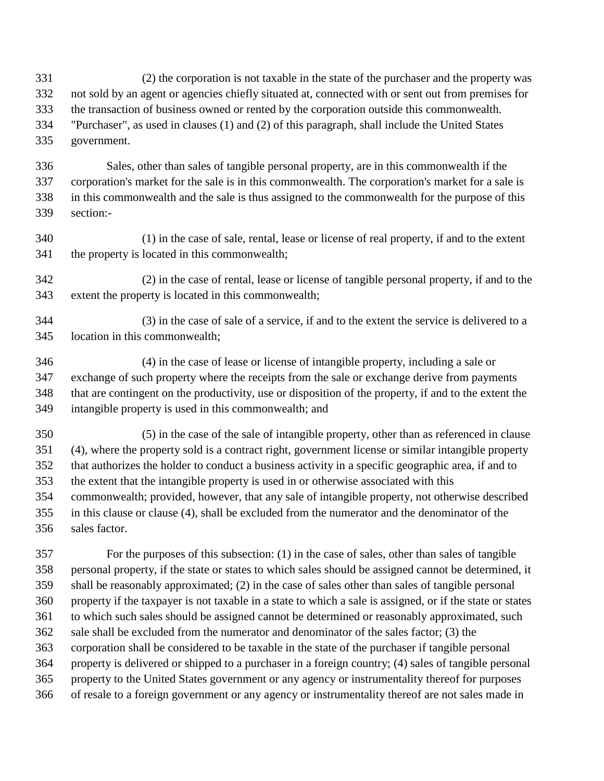- (2) the corporation is not taxable in the state of the purchaser and the property was not sold by an agent or agencies chiefly situated at, connected with or sent out from premises for the transaction of business owned or rented by the corporation outside this commonwealth. "Purchaser", as used in clauses (1) and (2) of this paragraph, shall include the United States government.
- Sales, other than sales of tangible personal property, are in this commonwealth if the corporation's market for the sale is in this commonwealth. The corporation's market for a sale is in this commonwealth and the sale is thus assigned to the commonwealth for the purpose of this section:-
- (1) in the case of sale, rental, lease or license of real property, if and to the extent the property is located in this commonwealth;
- (2) in the case of rental, lease or license of tangible personal property, if and to the extent the property is located in this commonwealth;
- (3) in the case of sale of a service, if and to the extent the service is delivered to a location in this commonwealth;
- (4) in the case of lease or license of intangible property, including a sale or exchange of such property where the receipts from the sale or exchange derive from payments that are contingent on the productivity, use or disposition of the property, if and to the extent the intangible property is used in this commonwealth; and
- (5) in the case of the sale of intangible property, other than as referenced in clause (4), where the property sold is a contract right, government license or similar intangible property that authorizes the holder to conduct a business activity in a specific geographic area, if and to the extent that the intangible property is used in or otherwise associated with this commonwealth; provided, however, that any sale of intangible property, not otherwise described in this clause or clause (4), shall be excluded from the numerator and the denominator of the sales factor.

 For the purposes of this subsection: (1) in the case of sales, other than sales of tangible personal property, if the state or states to which sales should be assigned cannot be determined, it shall be reasonably approximated; (2) in the case of sales other than sales of tangible personal property if the taxpayer is not taxable in a state to which a sale is assigned, or if the state or states to which such sales should be assigned cannot be determined or reasonably approximated, such sale shall be excluded from the numerator and denominator of the sales factor; (3) the corporation shall be considered to be taxable in the state of the purchaser if tangible personal property is delivered or shipped to a purchaser in a foreign country; (4) sales of tangible personal property to the United States government or any agency or instrumentality thereof for purposes of resale to a foreign government or any agency or instrumentality thereof are not sales made in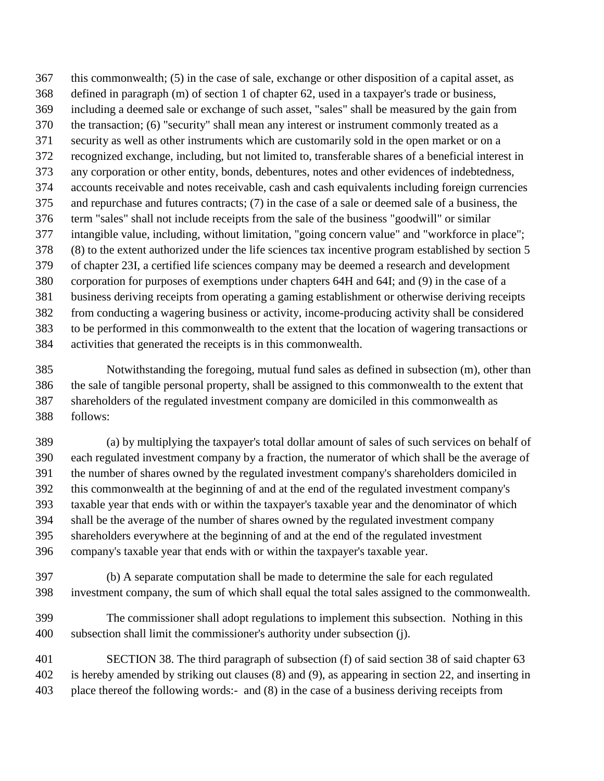this commonwealth; (5) in the case of sale, exchange or other disposition of a capital asset, as defined in paragraph (m) of section 1 of chapter 62, used in a taxpayer's trade or business, including a deemed sale or exchange of such asset, "sales" shall be measured by the gain from the transaction; (6) "security" shall mean any interest or instrument commonly treated as a security as well as other instruments which are customarily sold in the open market or on a recognized exchange, including, but not limited to, transferable shares of a beneficial interest in any corporation or other entity, bonds, debentures, notes and other evidences of indebtedness, accounts receivable and notes receivable, cash and cash equivalents including foreign currencies and repurchase and futures contracts; (7) in the case of a sale or deemed sale of a business, the term "sales" shall not include receipts from the sale of the business "goodwill" or similar intangible value, including, without limitation, "going concern value" and "workforce in place"; (8) to the extent authorized under the life sciences tax incentive program established by section 5 of chapter 23I, a certified life sciences company may be deemed a research and development corporation for purposes of exemptions under chapters 64H and 64I; and (9) in the case of a business deriving receipts from operating a gaming establishment or otherwise deriving receipts from conducting a wagering business or activity, income-producing activity shall be considered to be performed in this commonwealth to the extent that the location of wagering transactions or activities that generated the receipts is in this commonwealth.

 Notwithstanding the foregoing, mutual fund sales as defined in subsection (m), other than the sale of tangible personal property, shall be assigned to this commonwealth to the extent that shareholders of the regulated investment company are domiciled in this commonwealth as follows:

 (a) by multiplying the taxpayer's total dollar amount of sales of such services on behalf of each regulated investment company by a fraction, the numerator of which shall be the average of the number of shares owned by the regulated investment company's shareholders domiciled in this commonwealth at the beginning of and at the end of the regulated investment company's taxable year that ends with or within the taxpayer's taxable year and the denominator of which shall be the average of the number of shares owned by the regulated investment company shareholders everywhere at the beginning of and at the end of the regulated investment company's taxable year that ends with or within the taxpayer's taxable year.

 (b) A separate computation shall be made to determine the sale for each regulated investment company, the sum of which shall equal the total sales assigned to the commonwealth.

 The commissioner shall adopt regulations to implement this subsection. Nothing in this subsection shall limit the commissioner's authority under subsection (j).

 SECTION 38. The third paragraph of subsection (f) of said section 38 of said chapter 63 is hereby amended by striking out clauses (8) and (9), as appearing in section 22, and inserting in place thereof the following words:- and (8) in the case of a business deriving receipts from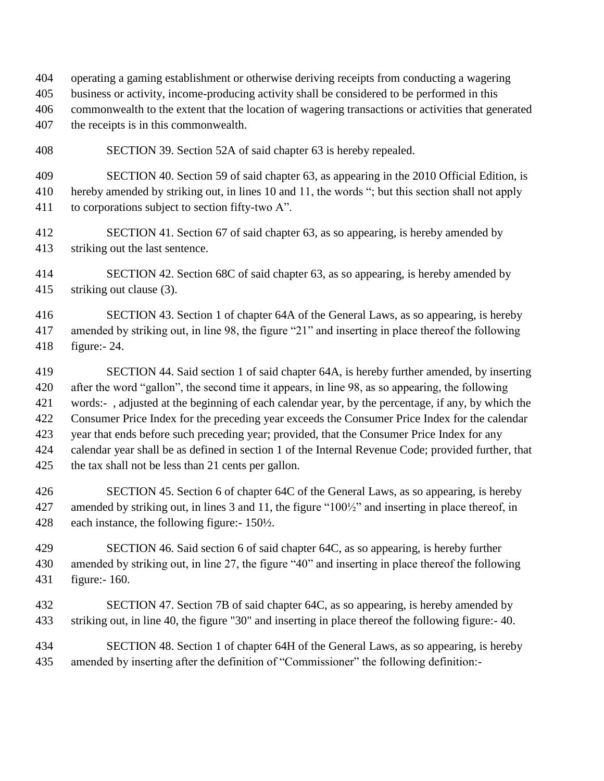operating a gaming establishment or otherwise deriving receipts from conducting a wagering business or activity, income-producing activity shall be considered to be performed in this commonwealth to the extent that the location of wagering transactions or activities that generated the receipts is in this commonwealth.

SECTION 39. Section 52A of said chapter 63 is hereby repealed.

 SECTION 40. Section 59 of said chapter 63, as appearing in the 2010 Official Edition, is hereby amended by striking out, in lines 10 and 11, the words "; but this section shall not apply to corporations subject to section fifty-two A".

 SECTION 41. Section 67 of said chapter 63, as so appearing, is hereby amended by striking out the last sentence.

 SECTION 42. Section 68C of said chapter 63, as so appearing, is hereby amended by striking out clause (3).

 SECTION 43. Section 1 of chapter 64A of the General Laws, as so appearing, is hereby amended by striking out, in line 98, the figure "21" and inserting in place thereof the following figure:- 24.

 SECTION 44. Said section 1 of said chapter 64A, is hereby further amended, by inserting after the word "gallon", the second time it appears, in line 98, as so appearing, the following words:- , adjusted at the beginning of each calendar year, by the percentage, if any, by which the Consumer Price Index for the preceding year exceeds the Consumer Price Index for the calendar year that ends before such preceding year; provided, that the Consumer Price Index for any calendar year shall be as defined in section 1 of the Internal Revenue Code; provided further, that the tax shall not be less than 21 cents per gallon.

 SECTION 45. Section 6 of chapter 64C of the General Laws, as so appearing, is hereby amended by striking out, in lines 3 and 11, the figure "100½" and inserting in place thereof, in each instance, the following figure:- 150½.

 SECTION 46. Said section 6 of said chapter 64C, as so appearing, is hereby further amended by striking out, in line 27, the figure "40" and inserting in place thereof the following figure:- 160.

 SECTION 47. Section 7B of said chapter 64C, as so appearing, is hereby amended by striking out, in line 40, the figure "30" and inserting in place thereof the following figure:- 40.

 SECTION 48. Section 1 of chapter 64H of the General Laws, as so appearing, is hereby amended by inserting after the definition of "Commissioner" the following definition:-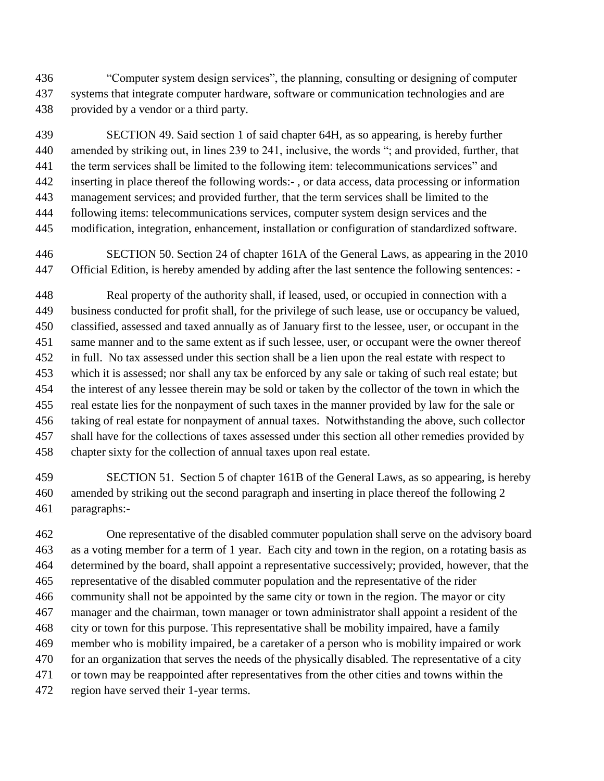"Computer system design services", the planning, consulting or designing of computer systems that integrate computer hardware, software or communication technologies and are provided by a vendor or a third party.

 SECTION 49. Said section 1 of said chapter 64H, as so appearing, is hereby further amended by striking out, in lines 239 to 241, inclusive, the words "; and provided, further, that the term services shall be limited to the following item: telecommunications services" and inserting in place thereof the following words:- , or data access, data processing or information management services; and provided further, that the term services shall be limited to the following items: telecommunications services, computer system design services and the modification, integration, enhancement, installation or configuration of standardized software.

 SECTION 50. Section 24 of chapter 161A of the General Laws, as appearing in the 2010 Official Edition, is hereby amended by adding after the last sentence the following sentences: -

 Real property of the authority shall, if leased, used, or occupied in connection with a business conducted for profit shall, for the privilege of such lease, use or occupancy be valued, classified, assessed and taxed annually as of January first to the lessee, user, or occupant in the same manner and to the same extent as if such lessee, user, or occupant were the owner thereof in full. No tax assessed under this section shall be a lien upon the real estate with respect to which it is assessed; nor shall any tax be enforced by any sale or taking of such real estate; but the interest of any lessee therein may be sold or taken by the collector of the town in which the real estate lies for the nonpayment of such taxes in the manner provided by law for the sale or taking of real estate for nonpayment of annual taxes. Notwithstanding the above, such collector shall have for the collections of taxes assessed under this section all other remedies provided by chapter sixty for the collection of annual taxes upon real estate.

 SECTION 51. Section 5 of chapter 161B of the General Laws, as so appearing, is hereby amended by striking out the second paragraph and inserting in place thereof the following 2 paragraphs:-

 One representative of the disabled commuter population shall serve on the advisory board as a voting member for a term of 1 year. Each city and town in the region, on a rotating basis as determined by the board, shall appoint a representative successively; provided, however, that the representative of the disabled commuter population and the representative of the rider community shall not be appointed by the same city or town in the region. The mayor or city manager and the chairman, town manager or town administrator shall appoint a resident of the city or town for this purpose. This representative shall be mobility impaired, have a family member who is mobility impaired, be a caretaker of a person who is mobility impaired or work for an organization that serves the needs of the physically disabled. The representative of a city or town may be reappointed after representatives from the other cities and towns within the region have served their 1-year terms.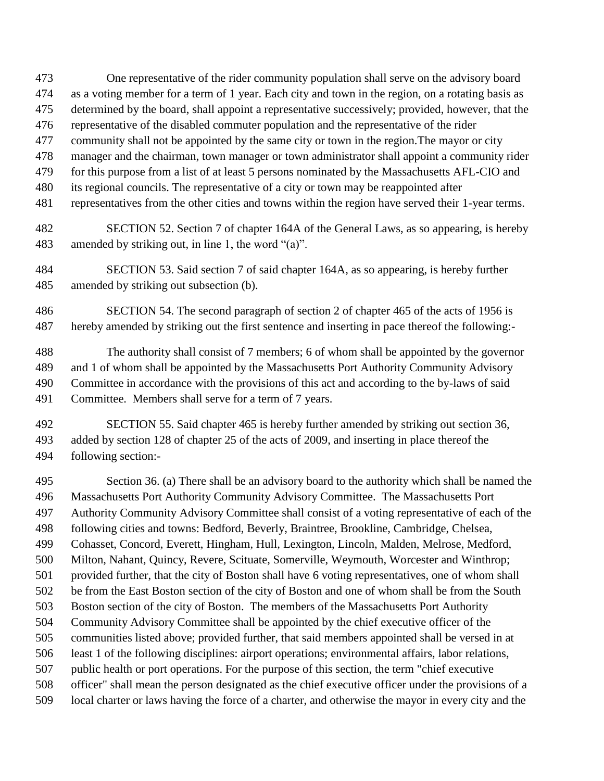- One representative of the rider community population shall serve on the advisory board as a voting member for a term of 1 year. Each city and town in the region, on a rotating basis as determined by the board, shall appoint a representative successively; provided, however, that the representative of the disabled commuter population and the representative of the rider community shall not be appointed by the same city or town in the region.The mayor or city manager and the chairman, town manager or town administrator shall appoint a community rider for this purpose from a list of at least 5 persons nominated by the Massachusetts AFL-CIO and
- its regional councils. The representative of a city or town may be reappointed after
- representatives from the other cities and towns within the region have served their 1-year terms.
- SECTION 52. Section 7 of chapter 164A of the General Laws, as so appearing, is hereby amended by striking out, in line 1, the word "(a)".
- SECTION 53. Said section 7 of said chapter 164A, as so appearing, is hereby further amended by striking out subsection (b).
- SECTION 54. The second paragraph of section 2 of chapter 465 of the acts of 1956 is hereby amended by striking out the first sentence and inserting in pace thereof the following:-

 The authority shall consist of 7 members; 6 of whom shall be appointed by the governor and 1 of whom shall be appointed by the Massachusetts Port Authority Community Advisory Committee in accordance with the provisions of this act and according to the by-laws of said Committee. Members shall serve for a term of 7 years.

 SECTION 55. Said chapter 465 is hereby further amended by striking out section 36, added by section 128 of chapter 25 of the acts of 2009, and inserting in place thereof the following section:-

 Section 36. (a) There shall be an advisory board to the authority which shall be named the Massachusetts Port Authority Community Advisory Committee. The Massachusetts Port Authority Community Advisory Committee shall consist of a voting representative of each of the following cities and towns: Bedford, Beverly, Braintree, Brookline, Cambridge, Chelsea, Cohasset, Concord, Everett, Hingham, Hull, Lexington, Lincoln, Malden, Melrose, Medford, Milton, Nahant, Quincy, Revere, Scituate, Somerville, Weymouth, Worcester and Winthrop; provided further, that the city of Boston shall have 6 voting representatives, one of whom shall be from the East Boston section of the city of Boston and one of whom shall be from the South Boston section of the city of Boston. The members of the Massachusetts Port Authority Community Advisory Committee shall be appointed by the chief executive officer of the communities listed above; provided further, that said members appointed shall be versed in at least 1 of the following disciplines: airport operations; environmental affairs, labor relations, public health or port operations. For the purpose of this section, the term "chief executive officer" shall mean the person designated as the chief executive officer under the provisions of a local charter or laws having the force of a charter, and otherwise the mayor in every city and the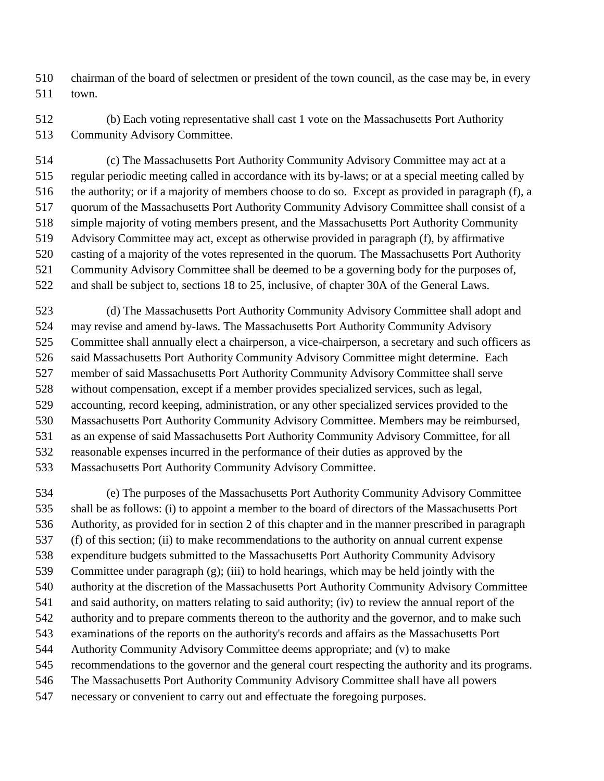chairman of the board of selectmen or president of the town council, as the case may be, in every town.

 (b) Each voting representative shall cast 1 vote on the Massachusetts Port Authority Community Advisory Committee.

 (c) The Massachusetts Port Authority Community Advisory Committee may act at a regular periodic meeting called in accordance with its by-laws; or at a special meeting called by the authority; or if a majority of members choose to do so. Except as provided in paragraph (f), a quorum of the Massachusetts Port Authority Community Advisory Committee shall consist of a simple majority of voting members present, and the Massachusetts Port Authority Community Advisory Committee may act, except as otherwise provided in paragraph (f), by affirmative casting of a majority of the votes represented in the quorum. The Massachusetts Port Authority Community Advisory Committee shall be deemed to be a governing body for the purposes of, and shall be subject to, sections 18 to 25, inclusive, of chapter 30A of the General Laws.

 (d) The Massachusetts Port Authority Community Advisory Committee shall adopt and may revise and amend by-laws. The Massachusetts Port Authority Community Advisory Committee shall annually elect a chairperson, a vice-chairperson, a secretary and such officers as said Massachusetts Port Authority Community Advisory Committee might determine. Each member of said Massachusetts Port Authority Community Advisory Committee shall serve without compensation, except if a member provides specialized services, such as legal, accounting, record keeping, administration, or any other specialized services provided to the Massachusetts Port Authority Community Advisory Committee. Members may be reimbursed, as an expense of said Massachusetts Port Authority Community Advisory Committee, for all reasonable expenses incurred in the performance of their duties as approved by the

Massachusetts Port Authority Community Advisory Committee.

 (e) The purposes of the Massachusetts Port Authority Community Advisory Committee shall be as follows: (i) to appoint a member to the board of directors of the Massachusetts Port Authority, as provided for in section 2 of this chapter and in the manner prescribed in paragraph (f) of this section; (ii) to make recommendations to the authority on annual current expense expenditure budgets submitted to the Massachusetts Port Authority Community Advisory Committee under paragraph (g); (iii) to hold hearings, which may be held jointly with the authority at the discretion of the Massachusetts Port Authority Community Advisory Committee and said authority, on matters relating to said authority; (iv) to review the annual report of the authority and to prepare comments thereon to the authority and the governor, and to make such examinations of the reports on the authority's records and affairs as the Massachusetts Port Authority Community Advisory Committee deems appropriate; and (v) to make recommendations to the governor and the general court respecting the authority and its programs. The Massachusetts Port Authority Community Advisory Committee shall have all powers necessary or convenient to carry out and effectuate the foregoing purposes.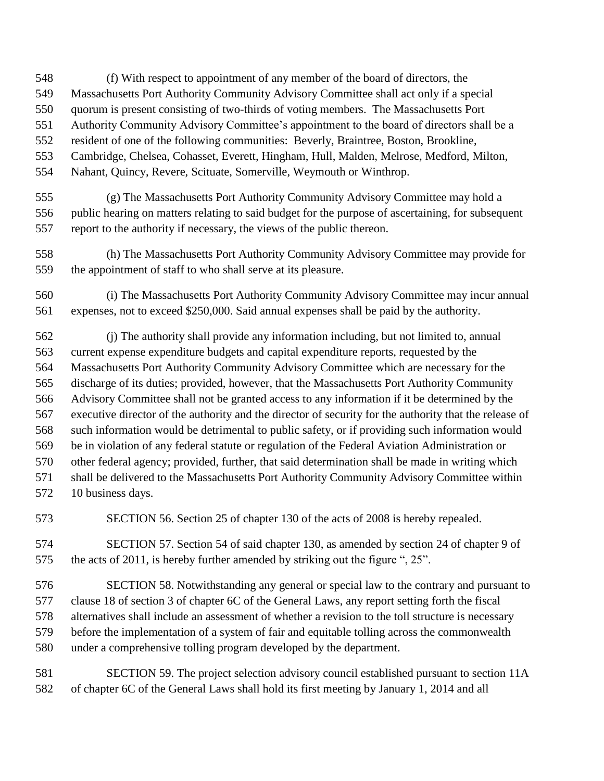- (f) With respect to appointment of any member of the board of directors, the
- Massachusetts Port Authority Community Advisory Committee shall act only if a special
- quorum is present consisting of two-thirds of voting members. The Massachusetts Port
- Authority Community Advisory Committee's appointment to the board of directors shall be a
- resident of one of the following communities: Beverly, Braintree, Boston, Brookline,
- Cambridge, Chelsea, Cohasset, Everett, Hingham, Hull, Malden, Melrose, Medford, Milton,
- Nahant, Quincy, Revere, Scituate, Somerville, Weymouth or Winthrop.
- (g) The Massachusetts Port Authority Community Advisory Committee may hold a public hearing on matters relating to said budget for the purpose of ascertaining, for subsequent report to the authority if necessary, the views of the public thereon.
- (h) The Massachusetts Port Authority Community Advisory Committee may provide for the appointment of staff to who shall serve at its pleasure.
- (i) The Massachusetts Port Authority Community Advisory Committee may incur annual expenses, not to exceed \$250,000. Said annual expenses shall be paid by the authority.
- (j) The authority shall provide any information including, but not limited to, annual current expense expenditure budgets and capital expenditure reports, requested by the Massachusetts Port Authority Community Advisory Committee which are necessary for the discharge of its duties; provided, however, that the Massachusetts Port Authority Community Advisory Committee shall not be granted access to any information if it be determined by the executive director of the authority and the director of security for the authority that the release of such information would be detrimental to public safety, or if providing such information would be in violation of any federal statute or regulation of the Federal Aviation Administration or other federal agency; provided, further, that said determination shall be made in writing which shall be delivered to the Massachusetts Port Authority Community Advisory Committee within 10 business days.
- SECTION 56. Section 25 of chapter 130 of the acts of 2008 is hereby repealed.
- SECTION 57. Section 54 of said chapter 130, as amended by section 24 of chapter 9 of the acts of 2011, is hereby further amended by striking out the figure ", 25".
- SECTION 58. Notwithstanding any general or special law to the contrary and pursuant to
- clause 18 of section 3 of chapter 6C of the General Laws, any report setting forth the fiscal
- alternatives shall include an assessment of whether a revision to the toll structure is necessary
- before the implementation of a system of fair and equitable tolling across the commonwealth
- under a comprehensive tolling program developed by the department.
- SECTION 59. The project selection advisory council established pursuant to section 11A of chapter 6C of the General Laws shall hold its first meeting by January 1, 2014 and all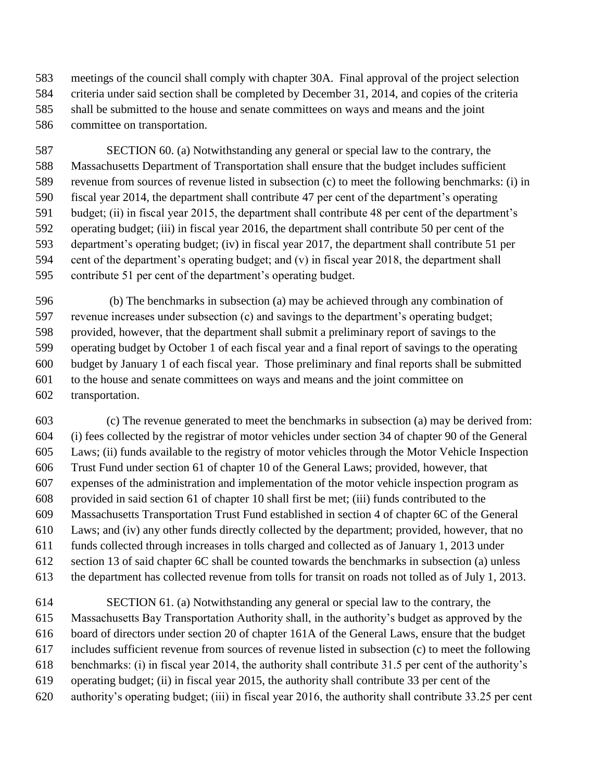meetings of the council shall comply with chapter 30A. Final approval of the project selection criteria under said section shall be completed by December 31, 2014, and copies of the criteria shall be submitted to the house and senate committees on ways and means and the joint committee on transportation.

 SECTION 60. (a) Notwithstanding any general or special law to the contrary, the Massachusetts Department of Transportation shall ensure that the budget includes sufficient revenue from sources of revenue listed in subsection (c) to meet the following benchmarks: (i) in fiscal year 2014, the department shall contribute 47 per cent of the department's operating budget; (ii) in fiscal year 2015, the department shall contribute 48 per cent of the department's operating budget; (iii) in fiscal year 2016, the department shall contribute 50 per cent of the department's operating budget; (iv) in fiscal year 2017, the department shall contribute 51 per cent of the department's operating budget; and (v) in fiscal year 2018, the department shall contribute 51 per cent of the department's operating budget.

 (b) The benchmarks in subsection (a) may be achieved through any combination of revenue increases under subsection (c) and savings to the department's operating budget; provided, however, that the department shall submit a preliminary report of savings to the operating budget by October 1 of each fiscal year and a final report of savings to the operating budget by January 1 of each fiscal year. Those preliminary and final reports shall be submitted to the house and senate committees on ways and means and the joint committee on transportation.

 (c) The revenue generated to meet the benchmarks in subsection (a) may be derived from: (i) fees collected by the registrar of motor vehicles under section 34 of chapter 90 of the General Laws; (ii) funds available to the registry of motor vehicles through the Motor Vehicle Inspection Trust Fund under section 61 of chapter 10 of the General Laws; provided, however, that expenses of the administration and implementation of the motor vehicle inspection program as provided in said section 61 of chapter 10 shall first be met; (iii) funds contributed to the Massachusetts Transportation Trust Fund established in section 4 of chapter 6C of the General Laws; and (iv) any other funds directly collected by the department; provided, however, that no funds collected through increases in tolls charged and collected as of January 1, 2013 under section 13 of said chapter 6C shall be counted towards the benchmarks in subsection (a) unless the department has collected revenue from tolls for transit on roads not tolled as of July 1, 2013.

 SECTION 61. (a) Notwithstanding any general or special law to the contrary, the Massachusetts Bay Transportation Authority shall, in the authority's budget as approved by the board of directors under section 20 of chapter 161A of the General Laws, ensure that the budget includes sufficient revenue from sources of revenue listed in subsection (c) to meet the following benchmarks: (i) in fiscal year 2014, the authority shall contribute 31.5 per cent of the authority's operating budget; (ii) in fiscal year 2015, the authority shall contribute 33 per cent of the authority's operating budget; (iii) in fiscal year 2016, the authority shall contribute 33.25 per cent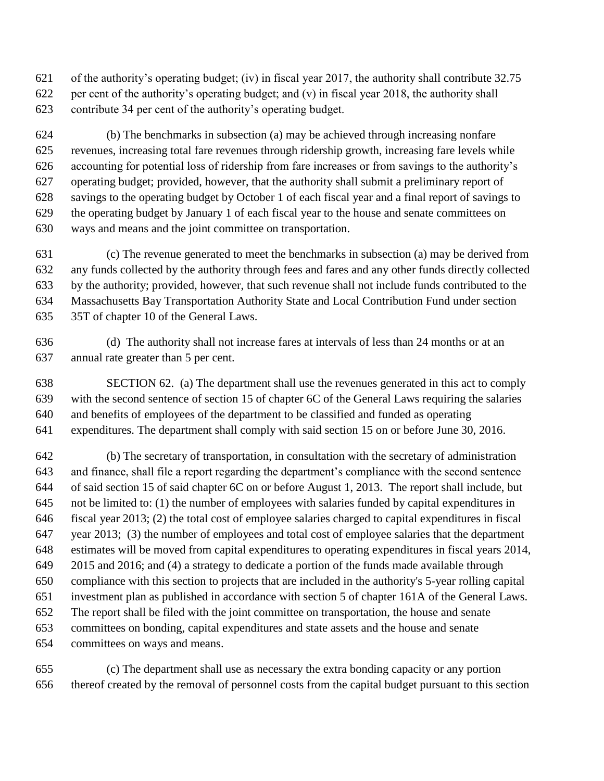of the authority's operating budget; (iv) in fiscal year 2017, the authority shall contribute 32.75 per cent of the authority's operating budget; and (v) in fiscal year 2018, the authority shall

contribute 34 per cent of the authority's operating budget.

 (b) The benchmarks in subsection (a) may be achieved through increasing nonfare revenues, increasing total fare revenues through ridership growth, increasing fare levels while accounting for potential loss of ridership from fare increases or from savings to the authority's operating budget; provided, however, that the authority shall submit a preliminary report of savings to the operating budget by October 1 of each fiscal year and a final report of savings to the operating budget by January 1 of each fiscal year to the house and senate committees on ways and means and the joint committee on transportation.

 (c) The revenue generated to meet the benchmarks in subsection (a) may be derived from any funds collected by the authority through fees and fares and any other funds directly collected by the authority; provided, however, that such revenue shall not include funds contributed to the Massachusetts Bay Transportation Authority State and Local Contribution Fund under section 35T of chapter 10 of the General Laws.

 (d) The authority shall not increase fares at intervals of less than 24 months or at an annual rate greater than 5 per cent.

 SECTION 62. (a) The department shall use the revenues generated in this act to comply with the second sentence of section 15 of chapter 6C of the General Laws requiring the salaries and benefits of employees of the department to be classified and funded as operating expenditures. The department shall comply with said section 15 on or before June 30, 2016.

 (b) The secretary of transportation, in consultation with the secretary of administration and finance, shall file a report regarding the department's compliance with the second sentence of said section 15 of said chapter 6C on or before August 1, 2013. The report shall include, but not be limited to: (1) the number of employees with salaries funded by capital expenditures in fiscal year 2013; (2) the total cost of employee salaries charged to capital expenditures in fiscal year 2013; (3) the number of employees and total cost of employee salaries that the department estimates will be moved from capital expenditures to operating expenditures in fiscal years 2014, 2015 and 2016; and (4) a strategy to dedicate a portion of the funds made available through compliance with this section to projects that are included in the authority's 5-year rolling capital investment plan as published in accordance with section 5 of chapter 161A of the General Laws. The report shall be filed with the joint committee on transportation, the house and senate committees on bonding, capital expenditures and state assets and the house and senate committees on ways and means.

 (c) The department shall use as necessary the extra bonding capacity or any portion thereof created by the removal of personnel costs from the capital budget pursuant to this section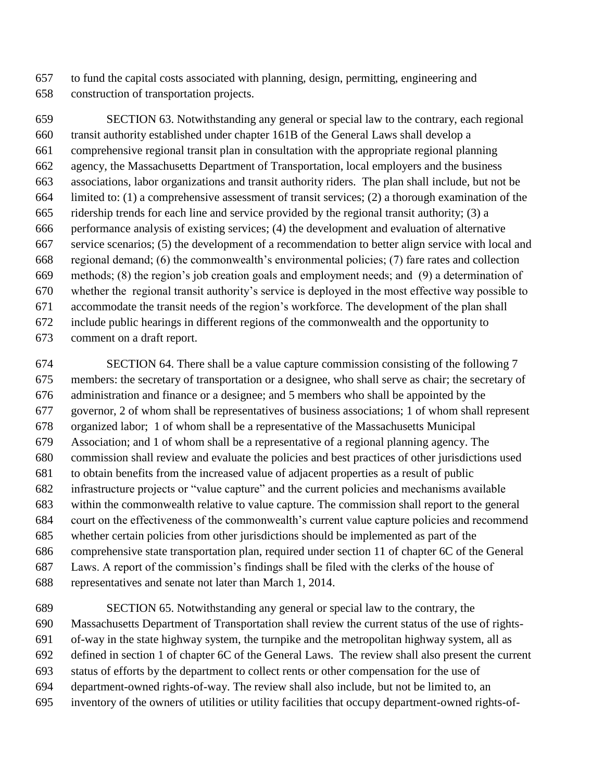to fund the capital costs associated with planning, design, permitting, engineering and construction of transportation projects.

 SECTION 63. Notwithstanding any general or special law to the contrary, each regional transit authority established under chapter 161B of the General Laws shall develop a comprehensive regional transit plan in consultation with the appropriate regional planning agency, the Massachusetts Department of Transportation, local employers and the business associations, labor organizations and transit authority riders. The plan shall include, but not be limited to: (1) a comprehensive assessment of transit services; (2) a thorough examination of the ridership trends for each line and service provided by the regional transit authority; (3) a performance analysis of existing services; (4) the development and evaluation of alternative service scenarios; (5) the development of a recommendation to better align service with local and regional demand; (6) the commonwealth's environmental policies; (7) fare rates and collection methods; (8) the region's job creation goals and employment needs; and (9) a determination of whether the regional transit authority's service is deployed in the most effective way possible to accommodate the transit needs of the region's workforce. The development of the plan shall include public hearings in different regions of the commonwealth and the opportunity to comment on a draft report.

 SECTION 64. There shall be a value capture commission consisting of the following 7 members: the secretary of transportation or a designee, who shall serve as chair; the secretary of administration and finance or a designee; and 5 members who shall be appointed by the governor, 2 of whom shall be representatives of business associations; 1 of whom shall represent organized labor; 1 of whom shall be a representative of the Massachusetts Municipal Association; and 1 of whom shall be a representative of a regional planning agency. The commission shall review and evaluate the policies and best practices of other jurisdictions used to obtain benefits from the increased value of adjacent properties as a result of public infrastructure projects or "value capture" and the current policies and mechanisms available within the commonwealth relative to value capture. The commission shall report to the general court on the effectiveness of the commonwealth's current value capture policies and recommend whether certain policies from other jurisdictions should be implemented as part of the comprehensive state transportation plan, required under section 11 of chapter 6C of the General Laws. A report of the commission's findings shall be filed with the clerks of the house of representatives and senate not later than March 1, 2014.

 SECTION 65. Notwithstanding any general or special law to the contrary, the Massachusetts Department of Transportation shall review the current status of the use of rights- of-way in the state highway system, the turnpike and the metropolitan highway system, all as defined in section 1 of chapter 6C of the General Laws. The review shall also present the current status of efforts by the department to collect rents or other compensation for the use of department-owned rights-of-way. The review shall also include, but not be limited to, an inventory of the owners of utilities or utility facilities that occupy department-owned rights-of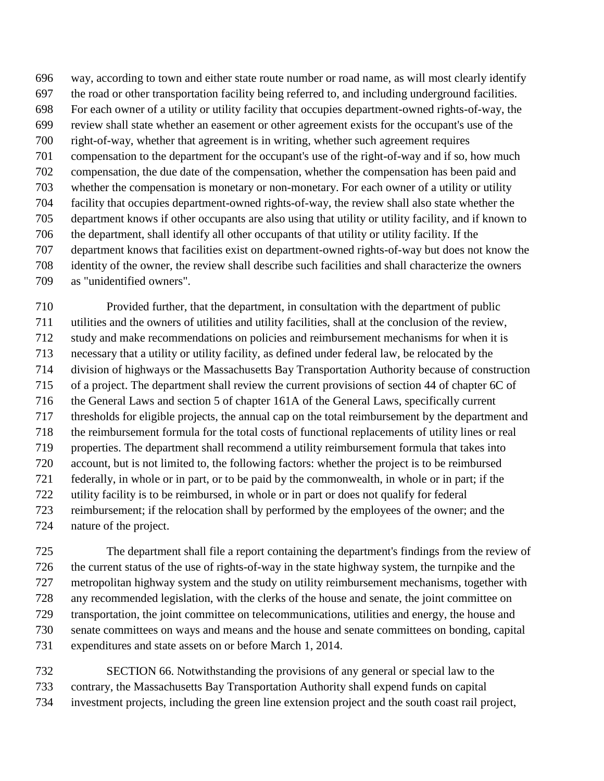way, according to town and either state route number or road name, as will most clearly identify the road or other transportation facility being referred to, and including underground facilities. For each owner of a utility or utility facility that occupies department-owned rights-of-way, the review shall state whether an easement or other agreement exists for the occupant's use of the right-of-way, whether that agreement is in writing, whether such agreement requires compensation to the department for the occupant's use of the right-of-way and if so, how much compensation, the due date of the compensation, whether the compensation has been paid and whether the compensation is monetary or non-monetary. For each owner of a utility or utility facility that occupies department-owned rights-of-way, the review shall also state whether the department knows if other occupants are also using that utility or utility facility, and if known to the department, shall identify all other occupants of that utility or utility facility. If the department knows that facilities exist on department-owned rights-of-way but does not know the identity of the owner, the review shall describe such facilities and shall characterize the owners as "unidentified owners".

 Provided further, that the department, in consultation with the department of public utilities and the owners of utilities and utility facilities, shall at the conclusion of the review, study and make recommendations on policies and reimbursement mechanisms for when it is necessary that a utility or utility facility, as defined under federal law, be relocated by the division of highways or the Massachusetts Bay Transportation Authority because of construction of a project. The department shall review the current provisions of section 44 of chapter 6C of the General Laws and section 5 of chapter 161A of the General Laws, specifically current thresholds for eligible projects, the annual cap on the total reimbursement by the department and the reimbursement formula for the total costs of functional replacements of utility lines or real properties. The department shall recommend a utility reimbursement formula that takes into account, but is not limited to, the following factors: whether the project is to be reimbursed federally, in whole or in part, or to be paid by the commonwealth, in whole or in part; if the utility facility is to be reimbursed, in whole or in part or does not qualify for federal reimbursement; if the relocation shall by performed by the employees of the owner; and the nature of the project.

 The department shall file a report containing the department's findings from the review of the current status of the use of rights-of-way in the state highway system, the turnpike and the metropolitan highway system and the study on utility reimbursement mechanisms, together with any recommended legislation, with the clerks of the house and senate, the joint committee on transportation, the joint committee on telecommunications, utilities and energy, the house and senate committees on ways and means and the house and senate committees on bonding, capital expenditures and state assets on or before March 1, 2014.

 SECTION 66. Notwithstanding the provisions of any general or special law to the contrary, the Massachusetts Bay Transportation Authority shall expend funds on capital investment projects, including the green line extension project and the south coast rail project,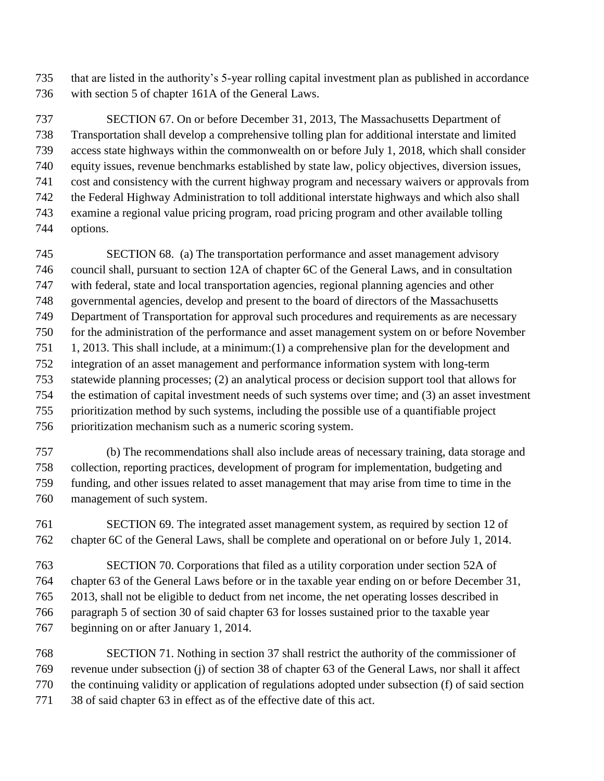that are listed in the authority's 5-year rolling capital investment plan as published in accordance with section 5 of chapter 161A of the General Laws.

 SECTION 67. On or before December 31, 2013, The Massachusetts Department of Transportation shall develop a comprehensive tolling plan for additional interstate and limited access state highways within the commonwealth on or before July 1, 2018, which shall consider equity issues, revenue benchmarks established by state law, policy objectives, diversion issues, cost and consistency with the current highway program and necessary waivers or approvals from the Federal Highway Administration to toll additional interstate highways and which also shall examine a regional value pricing program, road pricing program and other available tolling options.

 SECTION 68. (a) The transportation performance and asset management advisory council shall, pursuant to section 12A of chapter 6C of the General Laws, and in consultation with federal, state and local transportation agencies, regional planning agencies and other governmental agencies, develop and present to the board of directors of the Massachusetts Department of Transportation for approval such procedures and requirements as are necessary for the administration of the performance and asset management system on or before November 1, 2013. This shall include, at a minimum:(1) a comprehensive plan for the development and integration of an asset management and performance information system with long-term statewide planning processes; (2) an analytical process or decision support tool that allows for the estimation of capital investment needs of such systems over time; and (3) an asset investment prioritization method by such systems, including the possible use of a quantifiable project prioritization mechanism such as a numeric scoring system.

 (b) The recommendations shall also include areas of necessary training, data storage and collection, reporting practices, development of program for implementation, budgeting and funding, and other issues related to asset management that may arise from time to time in the management of such system.

 SECTION 69. The integrated asset management system, as required by section 12 of chapter 6C of the General Laws, shall be complete and operational on or before July 1, 2014.

 SECTION 70. Corporations that filed as a utility corporation under section 52A of chapter 63 of the General Laws before or in the taxable year ending on or before December 31, 2013, shall not be eligible to deduct from net income, the net operating losses described in paragraph 5 of section 30 of said chapter 63 for losses sustained prior to the taxable year beginning on or after January 1, 2014.

 SECTION 71. Nothing in section 37 shall restrict the authority of the commissioner of revenue under subsection (j) of section 38 of chapter 63 of the General Laws, nor shall it affect the continuing validity or application of regulations adopted under subsection (f) of said section 38 of said chapter 63 in effect as of the effective date of this act.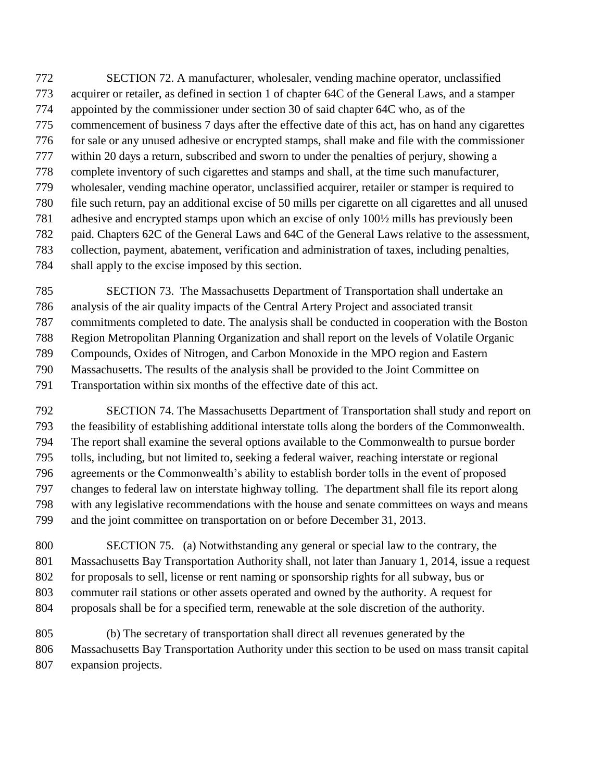SECTION 72. A manufacturer, wholesaler, vending machine operator, unclassified acquirer or retailer, as defined in section 1 of chapter 64C of the General Laws, and a stamper appointed by the commissioner under section 30 of said chapter 64C who, as of the commencement of business 7 days after the effective date of this act, has on hand any cigarettes for sale or any unused adhesive or encrypted stamps, shall make and file with the commissioner within 20 days a return, subscribed and sworn to under the penalties of perjury, showing a complete inventory of such cigarettes and stamps and shall, at the time such manufacturer, wholesaler, vending machine operator, unclassified acquirer, retailer or stamper is required to file such return, pay an additional excise of 50 mills per cigarette on all cigarettes and all unused adhesive and encrypted stamps upon which an excise of only 100½ mills has previously been paid. Chapters 62C of the General Laws and 64C of the General Laws relative to the assessment, collection, payment, abatement, verification and administration of taxes, including penalties, shall apply to the excise imposed by this section.

 SECTION 73. The Massachusetts Department of Transportation shall undertake an analysis of the air quality impacts of the Central Artery Project and associated transit commitments completed to date. The analysis shall be conducted in cooperation with the Boston Region Metropolitan Planning Organization and shall report on the levels of Volatile Organic Compounds, Oxides of Nitrogen, and Carbon Monoxide in the MPO region and Eastern Massachusetts. The results of the analysis shall be provided to the Joint Committee on Transportation within six months of the effective date of this act.

 SECTION 74. The Massachusetts Department of Transportation shall study and report on the feasibility of establishing additional interstate tolls along the borders of the Commonwealth. The report shall examine the several options available to the Commonwealth to pursue border tolls, including, but not limited to, seeking a federal waiver, reaching interstate or regional agreements or the Commonwealth's ability to establish border tolls in the event of proposed changes to federal law on interstate highway tolling. The department shall file its report along with any legislative recommendations with the house and senate committees on ways and means and the joint committee on transportation on or before December 31, 2013.

 SECTION 75. (a) Notwithstanding any general or special law to the contrary, the Massachusetts Bay Transportation Authority shall, not later than January 1, 2014, issue a request for proposals to sell, license or rent naming or sponsorship rights for all subway, bus or commuter rail stations or other assets operated and owned by the authority. A request for proposals shall be for a specified term, renewable at the sole discretion of the authority.

 (b) The secretary of transportation shall direct all revenues generated by the Massachusetts Bay Transportation Authority under this section to be used on mass transit capital expansion projects.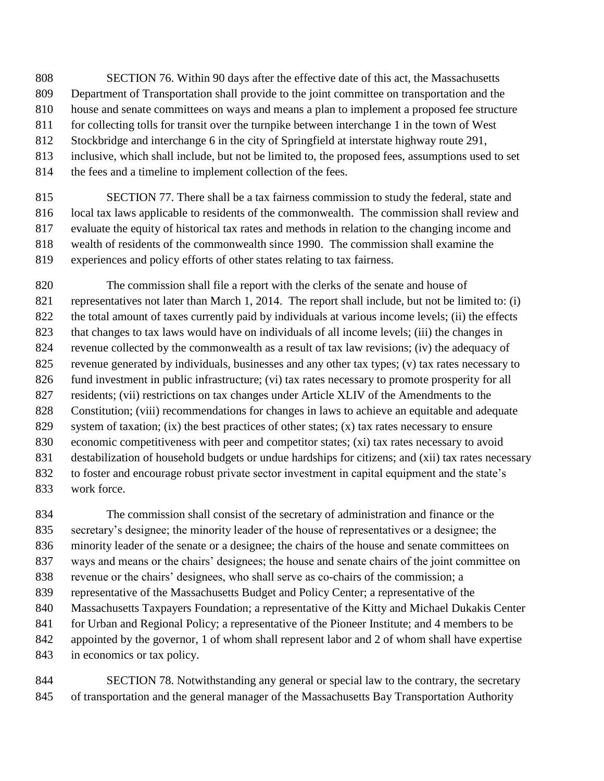- SECTION 76. Within 90 days after the effective date of this act, the Massachusetts Department of Transportation shall provide to the joint committee on transportation and the house and senate committees on ways and means a plan to implement a proposed fee structure for collecting tolls for transit over the turnpike between interchange 1 in the town of West
- Stockbridge and interchange 6 in the city of Springfield at interstate highway route 291,
- inclusive, which shall include, but not be limited to, the proposed fees, assumptions used to set
- the fees and a timeline to implement collection of the fees.

 SECTION 77. There shall be a tax fairness commission to study the federal, state and local tax laws applicable to residents of the commonwealth. The commission shall review and evaluate the equity of historical tax rates and methods in relation to the changing income and wealth of residents of the commonwealth since 1990. The commission shall examine the experiences and policy efforts of other states relating to tax fairness.

 The commission shall file a report with the clerks of the senate and house of representatives not later than March 1, 2014. The report shall include, but not be limited to: (i) the total amount of taxes currently paid by individuals at various income levels; (ii) the effects that changes to tax laws would have on individuals of all income levels; (iii) the changes in revenue collected by the commonwealth as a result of tax law revisions; (iv) the adequacy of revenue generated by individuals, businesses and any other tax types; (v) tax rates necessary to fund investment in public infrastructure; (vi) tax rates necessary to promote prosperity for all residents; (vii) restrictions on tax changes under Article XLIV of the Amendments to the Constitution; (viii) recommendations for changes in laws to achieve an equitable and adequate 829 system of taxation; (ix) the best practices of other states; (x) tax rates necessary to ensure economic competitiveness with peer and competitor states; (xi) tax rates necessary to avoid destabilization of household budgets or undue hardships for citizens; and (xii) tax rates necessary to foster and encourage robust private sector investment in capital equipment and the state's work force.

 The commission shall consist of the secretary of administration and finance or the secretary's designee; the minority leader of the house of representatives or a designee; the minority leader of the senate or a designee; the chairs of the house and senate committees on ways and means or the chairs' designees; the house and senate chairs of the joint committee on revenue or the chairs' designees, who shall serve as co-chairs of the commission; a representative of the Massachusetts Budget and Policy Center; a representative of the Massachusetts Taxpayers Foundation; a representative of the Kitty and Michael Dukakis Center for Urban and Regional Policy; a representative of the Pioneer Institute; and 4 members to be appointed by the governor, 1 of whom shall represent labor and 2 of whom shall have expertise in economics or tax policy.

 SECTION 78. Notwithstanding any general or special law to the contrary, the secretary of transportation and the general manager of the Massachusetts Bay Transportation Authority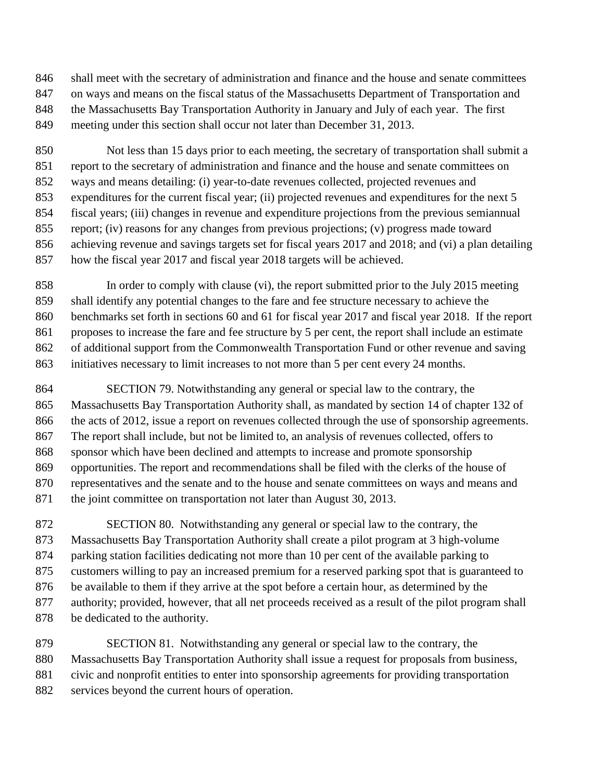shall meet with the secretary of administration and finance and the house and senate committees on ways and means on the fiscal status of the Massachusetts Department of Transportation and the Massachusetts Bay Transportation Authority in January and July of each year. The first meeting under this section shall occur not later than December 31, 2013.

 Not less than 15 days prior to each meeting, the secretary of transportation shall submit a report to the secretary of administration and finance and the house and senate committees on ways and means detailing: (i) year-to-date revenues collected, projected revenues and expenditures for the current fiscal year; (ii) projected revenues and expenditures for the next 5 fiscal years; (iii) changes in revenue and expenditure projections from the previous semiannual report; (iv) reasons for any changes from previous projections; (v) progress made toward achieving revenue and savings targets set for fiscal years 2017 and 2018; and (vi) a plan detailing how the fiscal year 2017 and fiscal year 2018 targets will be achieved.

 In order to comply with clause (vi), the report submitted prior to the July 2015 meeting shall identify any potential changes to the fare and fee structure necessary to achieve the benchmarks set forth in sections 60 and 61 for fiscal year 2017 and fiscal year 2018. If the report proposes to increase the fare and fee structure by 5 per cent, the report shall include an estimate of additional support from the Commonwealth Transportation Fund or other revenue and saving initiatives necessary to limit increases to not more than 5 per cent every 24 months.

 SECTION 79. Notwithstanding any general or special law to the contrary, the Massachusetts Bay Transportation Authority shall, as mandated by section 14 of chapter 132 of the acts of 2012, issue a report on revenues collected through the use of sponsorship agreements. The report shall include, but not be limited to, an analysis of revenues collected, offers to sponsor which have been declined and attempts to increase and promote sponsorship opportunities. The report and recommendations shall be filed with the clerks of the house of representatives and the senate and to the house and senate committees on ways and means and 871 the joint committee on transportation not later than August 30, 2013.

 SECTION 80. Notwithstanding any general or special law to the contrary, the Massachusetts Bay Transportation Authority shall create a pilot program at 3 high-volume parking station facilities dedicating not more than 10 per cent of the available parking to customers willing to pay an increased premium for a reserved parking spot that is guaranteed to be available to them if they arrive at the spot before a certain hour, as determined by the authority; provided, however, that all net proceeds received as a result of the pilot program shall be dedicated to the authority.

 SECTION 81. Notwithstanding any general or special law to the contrary, the Massachusetts Bay Transportation Authority shall issue a request for proposals from business, civic and nonprofit entities to enter into sponsorship agreements for providing transportation services beyond the current hours of operation.